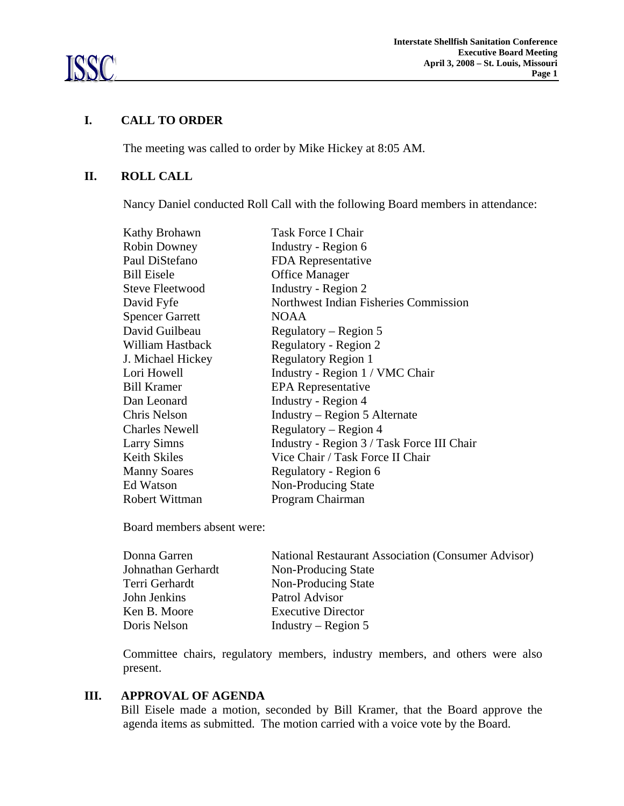

#### **I. CALL TO ORDER**

The meeting was called to order by Mike Hickey at 8:05 AM.

#### **II. ROLL CALL**

Nancy Daniel conducted Roll Call with the following Board members in attendance:

| Kathy Brohawn          | Task Force I Chair                         |
|------------------------|--------------------------------------------|
| <b>Robin Downey</b>    | Industry - Region 6                        |
| Paul DiStefano         | FDA Representative                         |
| <b>Bill Eisele</b>     | <b>Office Manager</b>                      |
| Steve Fleetwood        | Industry - Region 2                        |
| David Fyfe             | Northwest Indian Fisheries Commission      |
| <b>Spencer Garrett</b> | NOAA                                       |
| David Guilbeau         | Regulatory – Region 5                      |
| William Hastback       | Regulatory - Region 2                      |
| J. Michael Hickey      | <b>Regulatory Region 1</b>                 |
| Lori Howell            | Industry - Region 1 / VMC Chair            |
| <b>Bill Kramer</b>     | EPA Representative                         |
| Dan Leonard            | Industry - Region 4                        |
| Chris Nelson           | Industry – Region 5 Alternate              |
| <b>Charles Newell</b>  | Regulatory – Region 4                      |
| <b>Larry Simns</b>     | Industry - Region 3 / Task Force III Chair |
| <b>Keith Skiles</b>    | Vice Chair / Task Force II Chair           |
| <b>Manny Soares</b>    | Regulatory - Region 6                      |
| Ed Watson              | Non-Producing State                        |
| <b>Robert Wittman</b>  | Program Chairman                           |

Board members absent were:

| Donna Garren       | <b>National Restaurant Association (Consumer Advisor)</b> |
|--------------------|-----------------------------------------------------------|
| Johnathan Gerhardt | Non-Producing State                                       |
| Terri Gerhardt     | <b>Non-Producing State</b>                                |
| John Jenkins       | Patrol Advisor                                            |
| Ken B. Moore       | <b>Executive Director</b>                                 |
| Doris Nelson       | Industry – Region 5                                       |

Committee chairs, regulatory members, industry members, and others were also present.

## **III. APPROVAL OF AGENDA**

Bill Eisele made a motion, seconded by Bill Kramer, that the Board approve the agenda items as submitted. The motion carried with a voice vote by the Board.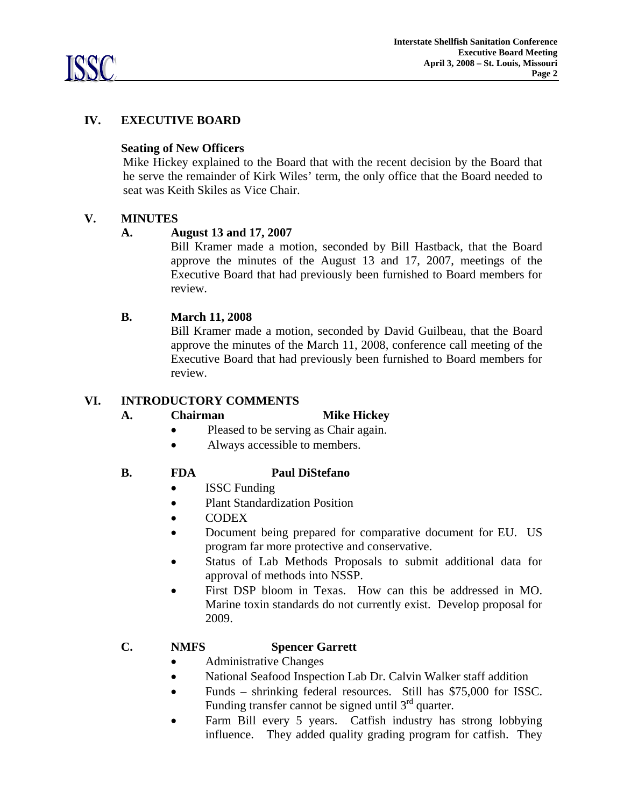

# **IV. EXECUTIVE BOARD**

#### **Seating of New Officers**

 Mike Hickey explained to the Board that with the recent decision by the Board that he serve the remainder of Kirk Wiles' term, the only office that the Board needed to seat was Keith Skiles as Vice Chair.

#### **V. MINUTES**

#### **A. August 13 and 17, 2007**

 Bill Kramer made a motion, seconded by Bill Hastback, that the Board approve the minutes of the August 13 and 17, 2007, meetings of the Executive Board that had previously been furnished to Board members for review.

#### **B. March 11, 2008**

 Bill Kramer made a motion, seconded by David Guilbeau, that the Board approve the minutes of the March 11, 2008, conference call meeting of the Executive Board that had previously been furnished to Board members for review.

#### **VI. INTRODUCTORY COMMENTS**

#### A. **Chairman Mike Hickey**

- Pleased to be serving as Chair again.
- Always accessible to members.

## **B. FDA Paul DiStefano**

- **ISSC Funding**
- Plant Standardization Position
- CODEX
- Document being prepared for comparative document for EU. US program far more protective and conservative.
- Status of Lab Methods Proposals to submit additional data for approval of methods into NSSP.
- First DSP bloom in Texas. How can this be addressed in MO. Marine toxin standards do not currently exist. Develop proposal for 2009.

## **C. NMFS Spencer Garrett**

- Administrative Changes
- National Seafood Inspection Lab Dr. Calvin Walker staff addition
- Funds shrinking federal resources. Still has \$75,000 for ISSC. Funding transfer cannot be signed until 3<sup>rd</sup> quarter.
- Farm Bill every 5 years. Catfish industry has strong lobbying influence. They added quality grading program for catfish. They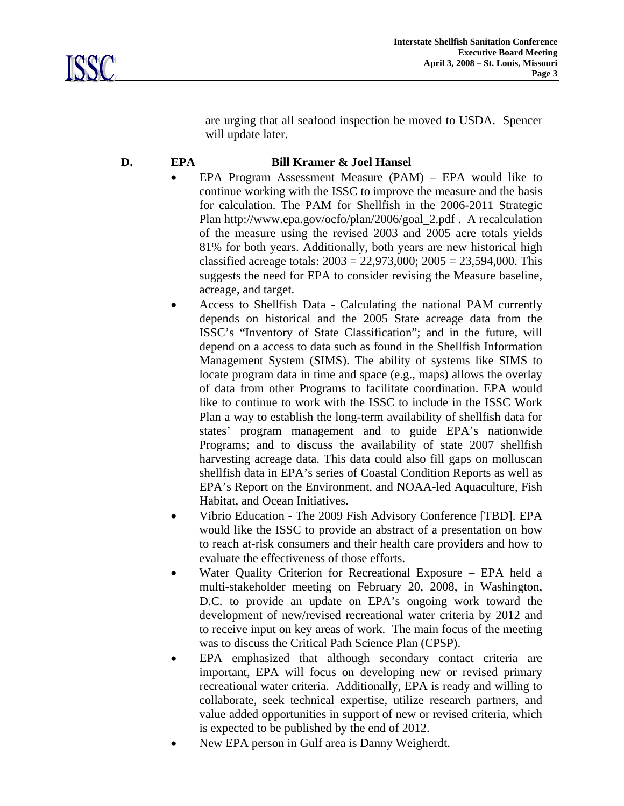are urging that all seafood inspection be moved to USDA. Spencer will update later.

# **D. EPA Bill Kramer & Joel Hansel**

- EPA Program Assessment Measure (PAM) EPA would like to continue working with the ISSC to improve the measure and the basis for calculation. The PAM for Shellfish in the 2006-2011 Strategic Plan http://www.epa.gov/ocfo/plan/2006/goal\_2.pdf . A recalculation of the measure using the revised 2003 and 2005 acre totals yields 81% for both years. Additionally, both years are new historical high classified acreage totals:  $2003 = 22,973,000$ ;  $2005 = 23,594,000$ . This suggests the need for EPA to consider revising the Measure baseline, acreage, and target.
- Access to Shellfish Data Calculating the national PAM currently depends on historical and the 2005 State acreage data from the ISSC's "Inventory of State Classification"; and in the future, will depend on a access to data such as found in the Shellfish Information Management System (SIMS). The ability of systems like SIMS to locate program data in time and space (e.g., maps) allows the overlay of data from other Programs to facilitate coordination. EPA would like to continue to work with the ISSC to include in the ISSC Work Plan a way to establish the long-term availability of shellfish data for states' program management and to guide EPA's nationwide Programs; and to discuss the availability of state 2007 shellfish harvesting acreage data. This data could also fill gaps on molluscan shellfish data in EPA's series of Coastal Condition Reports as well as EPA's Report on the Environment, and NOAA-led Aquaculture, Fish Habitat, and Ocean Initiatives.
- Vibrio Education The 2009 Fish Advisory Conference [TBD]. EPA would like the ISSC to provide an abstract of a presentation on how to reach at-risk consumers and their health care providers and how to evaluate the effectiveness of those efforts.
- Water Quality Criterion for Recreational Exposure EPA held a multi-stakeholder meeting on February 20, 2008, in Washington, D.C. to provide an update on EPA's ongoing work toward the development of new/revised recreational water criteria by 2012 and to receive input on key areas of work. The main focus of the meeting was to discuss the Critical Path Science Plan (CPSP).
- EPA emphasized that although secondary contact criteria are important, EPA will focus on developing new or revised primary recreational water criteria. Additionally, EPA is ready and willing to collaborate, seek technical expertise, utilize research partners, and value added opportunities in support of new or revised criteria, which is expected to be published by the end of 2012.
- New EPA person in Gulf area is Danny Weigherdt.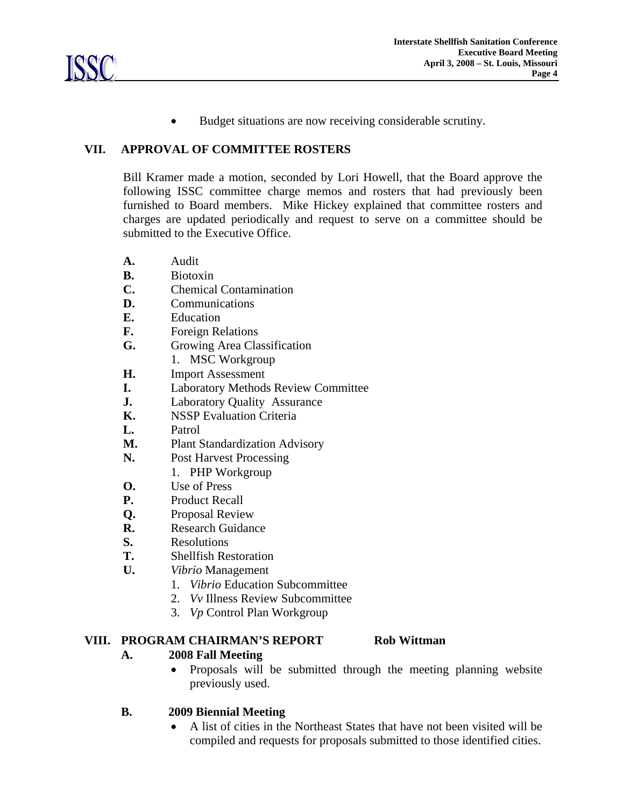• Budget situations are now receiving considerable scrutiny.

#### **VII. APPROVAL OF COMMITTEE ROSTERS**

Bill Kramer made a motion, seconded by Lori Howell, that the Board approve the following ISSC committee charge memos and rosters that had previously been furnished to Board members. Mike Hickey explained that committee rosters and charges are updated periodically and request to serve on a committee should be submitted to the Executive Office.

- **A.** Audit
- **B.** Biotoxin
- **C.** Chemical Contamination
- **D.** Communications
- **E.** Education
- **F.** Foreign Relations
- **G.** Growing Area Classification
	- 1. MSC Workgroup
- **H.** Import Assessment
- **I.** Laboratory Methods Review Committee
- **J.** Laboratory Quality Assurance
- **K.** NSSP Evaluation Criteria
- **L.** Patrol
- **M.** Plant Standardization Advisory
- **N.** Post Harvest Processing
	- 1. PHP Workgroup
- **O.** Use of Press
- **P.** Product Recall
- **Q.** Proposal Review
- **R.** Research Guidance
- **S.** Resolutions
- **T.** Shellfish Restoration
- **U.** *Vibrio* Management
	- 1. *Vibrio* Education Subcommittee
	- 2. *Vv* Illness Review Subcommittee
	- 3. *Vp* Control Plan Workgroup

## **VIII. PROGRAM CHAIRMAN'S REPORT Rob Wittman**

## **A. 2008 Fall Meeting**

• Proposals will be submitted through the meeting planning website previously used.

## **B. 2009 Biennial Meeting**

• A list of cities in the Northeast States that have not been visited will be compiled and requests for proposals submitted to those identified cities.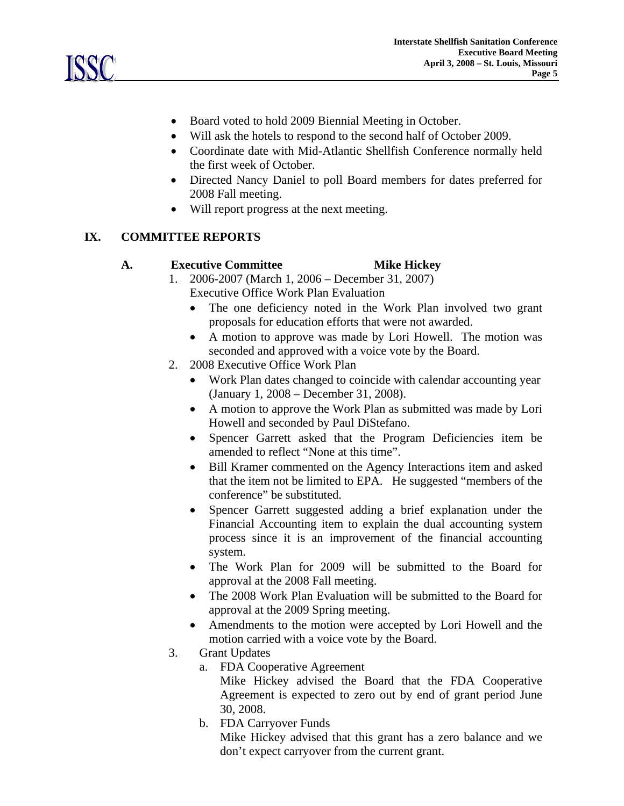

- Board voted to hold 2009 Biennial Meeting in October.
- Will ask the hotels to respond to the second half of October 2009.
- Coordinate date with Mid-Atlantic Shellfish Conference normally held the first week of October.
- Directed Nancy Daniel to poll Board members for dates preferred for 2008 Fall meeting.
- Will report progress at the next meeting.

# **IX. COMMITTEE REPORTS**

#### **A. Executive Committee Mike Hickey**

- 1. 2006-2007 (March 1, 2006 December 31, 2007) Executive Office Work Plan Evaluation
	- The one deficiency noted in the Work Plan involved two grant proposals for education efforts that were not awarded.
	- A motion to approve was made by Lori Howell. The motion was seconded and approved with a voice vote by the Board.
- 2. 2008 Executive Office Work Plan
	- Work Plan dates changed to coincide with calendar accounting year (January 1, 2008 – December 31, 2008).
	- A motion to approve the Work Plan as submitted was made by Lori Howell and seconded by Paul DiStefano.
	- Spencer Garrett asked that the Program Deficiencies item be amended to reflect "None at this time".
	- Bill Kramer commented on the Agency Interactions item and asked that the item not be limited to EPA. He suggested "members of the conference" be substituted.
	- Spencer Garrett suggested adding a brief explanation under the Financial Accounting item to explain the dual accounting system process since it is an improvement of the financial accounting system.
	- The Work Plan for 2009 will be submitted to the Board for approval at the 2008 Fall meeting.
	- The 2008 Work Plan Evaluation will be submitted to the Board for approval at the 2009 Spring meeting.
	- Amendments to the motion were accepted by Lori Howell and the motion carried with a voice vote by the Board.
- 3. Grant Updates
	- a. FDA Cooperative Agreement

Mike Hickey advised the Board that the FDA Cooperative Agreement is expected to zero out by end of grant period June 30, 2008.

b. FDA Carryover Funds

 Mike Hickey advised that this grant has a zero balance and we don't expect carryover from the current grant.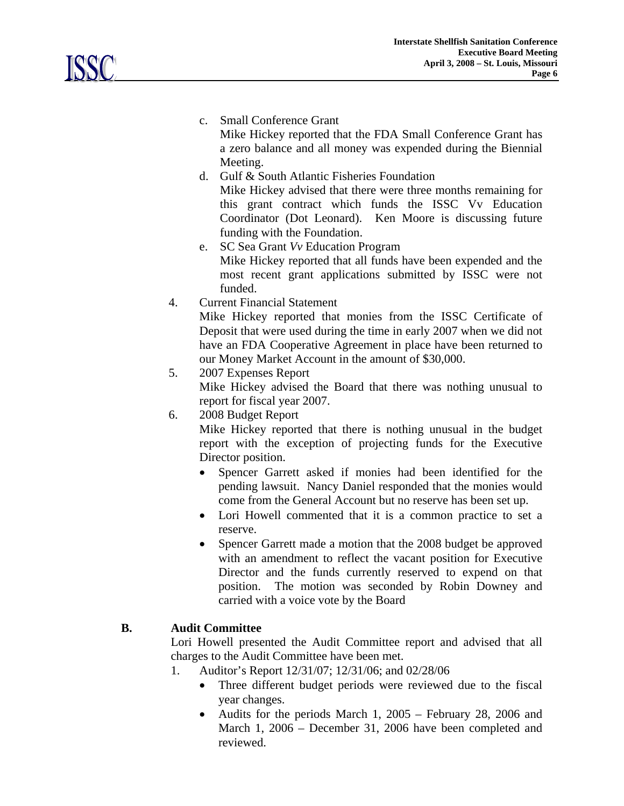c. Small Conference Grant

Mike Hickey reported that the FDA Small Conference Grant has a zero balance and all money was expended during the Biennial Meeting.

- d. Gulf & South Atlantic Fisheries Foundation Mike Hickey advised that there were three months remaining for this grant contract which funds the ISSC Vv Education Coordinator (Dot Leonard). Ken Moore is discussing future funding with the Foundation.
- e. SC Sea Grant *Vv* Education Program Mike Hickey reported that all funds have been expended and the most recent grant applications submitted by ISSC were not funded.
- 4. Current Financial Statement

 Mike Hickey reported that monies from the ISSC Certificate of Deposit that were used during the time in early 2007 when we did not have an FDA Cooperative Agreement in place have been returned to our Money Market Account in the amount of \$30,000.

- 5. 2007 Expenses Report Mike Hickey advised the Board that there was nothing unusual to report for fiscal year 2007.
- 6. 2008 Budget Report

 Mike Hickey reported that there is nothing unusual in the budget report with the exception of projecting funds for the Executive Director position.

- Spencer Garrett asked if monies had been identified for the pending lawsuit. Nancy Daniel responded that the monies would come from the General Account but no reserve has been set up.
- Lori Howell commented that it is a common practice to set a reserve.
- Spencer Garrett made a motion that the 2008 budget be approved with an amendment to reflect the vacant position for Executive Director and the funds currently reserved to expend on that position. The motion was seconded by Robin Downey and carried with a voice vote by the Board

# **B. Audit Committee**

Lori Howell presented the Audit Committee report and advised that all charges to the Audit Committee have been met.

- 1. Auditor's Report 12/31/07; 12/31/06; and 02/28/06
	- Three different budget periods were reviewed due to the fiscal year changes.
	- Audits for the periods March 1, 2005 February 28, 2006 and March 1, 2006 – December 31, 2006 have been completed and reviewed.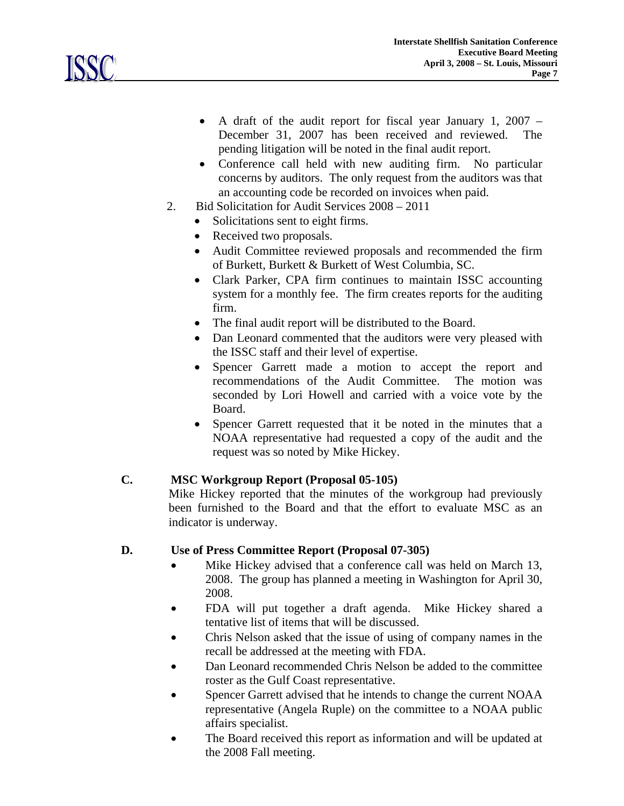

- A draft of the audit report for fiscal year January 1, 2007 December 31, 2007 has been received and reviewed. The pending litigation will be noted in the final audit report.
- Conference call held with new auditing firm. No particular concerns by auditors. The only request from the auditors was that an accounting code be recorded on invoices when paid.
- 2. Bid Solicitation for Audit Services 2008 2011
	- Solicitations sent to eight firms.
	- Received two proposals.
	- Audit Committee reviewed proposals and recommended the firm of Burkett, Burkett & Burkett of West Columbia, SC.
	- Clark Parker, CPA firm continues to maintain ISSC accounting system for a monthly fee. The firm creates reports for the auditing firm.
	- The final audit report will be distributed to the Board.
	- Dan Leonard commented that the auditors were very pleased with the ISSC staff and their level of expertise.
	- Spencer Garrett made a motion to accept the report and recommendations of the Audit Committee. The motion was seconded by Lori Howell and carried with a voice vote by the Board.
	- Spencer Garrett requested that it be noted in the minutes that a NOAA representative had requested a copy of the audit and the request was so noted by Mike Hickey.

## **C. MSC Workgroup Report (Proposal 05-105)**

Mike Hickey reported that the minutes of the workgroup had previously been furnished to the Board and that the effort to evaluate MSC as an indicator is underway.

## **D. Use of Press Committee Report (Proposal 07-305)**

- Mike Hickey advised that a conference call was held on March 13, 2008. The group has planned a meeting in Washington for April 30, 2008.
- FDA will put together a draft agenda. Mike Hickey shared a tentative list of items that will be discussed.
- Chris Nelson asked that the issue of using of company names in the recall be addressed at the meeting with FDA.
- Dan Leonard recommended Chris Nelson be added to the committee roster as the Gulf Coast representative.
- Spencer Garrett advised that he intends to change the current NOAA representative (Angela Ruple) on the committee to a NOAA public affairs specialist.
- The Board received this report as information and will be updated at the 2008 Fall meeting.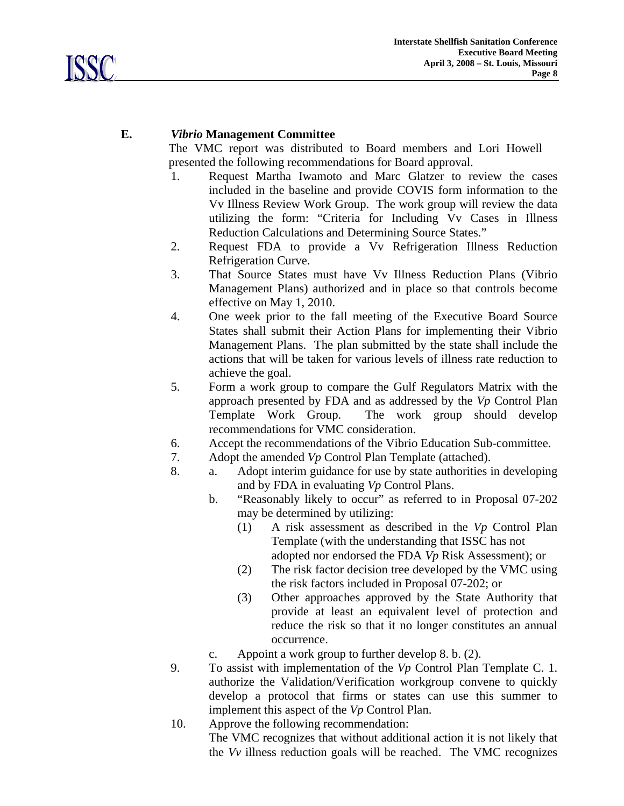

# **E.** *Vibrio* **Management Committee**

The VMC report was distributed to Board members and Lori Howell presented the following recommendations for Board approval.

- 1. Request Martha Iwamoto and Marc Glatzer to review the cases included in the baseline and provide COVIS form information to the Vv Illness Review Work Group. The work group will review the data utilizing the form: "Criteria for Including Vv Cases in Illness Reduction Calculations and Determining Source States."
- 2. Request FDA to provide a Vv Refrigeration Illness Reduction Refrigeration Curve.
- 3. That Source States must have Vv Illness Reduction Plans (Vibrio Management Plans) authorized and in place so that controls become effective on May 1, 2010.
- 4. One week prior to the fall meeting of the Executive Board Source States shall submit their Action Plans for implementing their Vibrio Management Plans. The plan submitted by the state shall include the actions that will be taken for various levels of illness rate reduction to achieve the goal.
- 5. Form a work group to compare the Gulf Regulators Matrix with the approach presented by FDA and as addressed by the *Vp* Control Plan Template Work Group. The work group should develop recommendations for VMC consideration.
- 6. Accept the recommendations of the Vibrio Education Sub-committee.
- 7. Adopt the amended *Vp* Control Plan Template (attached).
- 8. a. Adopt interim guidance for use by state authorities in developing and by FDA in evaluating *Vp* Control Plans.
	- b. "Reasonably likely to occur" as referred to in Proposal 07-202 may be determined by utilizing:
		- (1) A risk assessment as described in the *Vp* Control Plan Template (with the understanding that ISSC has not adopted nor endorsed the FDA *Vp* Risk Assessment); or
		- (2) The risk factor decision tree developed by the VMC using the risk factors included in Proposal 07-202; or
		- (3) Other approaches approved by the State Authority that provide at least an equivalent level of protection and reduce the risk so that it no longer constitutes an annual occurrence.

c. Appoint a work group to further develop 8. b. (2).

- 9. To assist with implementation of the *Vp* Control Plan Template C. 1. authorize the Validation/Verification workgroup convene to quickly develop a protocol that firms or states can use this summer to implement this aspect of the *Vp* Control Plan.
- 10. Approve the following recommendation: The VMC recognizes that without additional action it is not likely that the *Vv* illness reduction goals will be reached. The VMC recognizes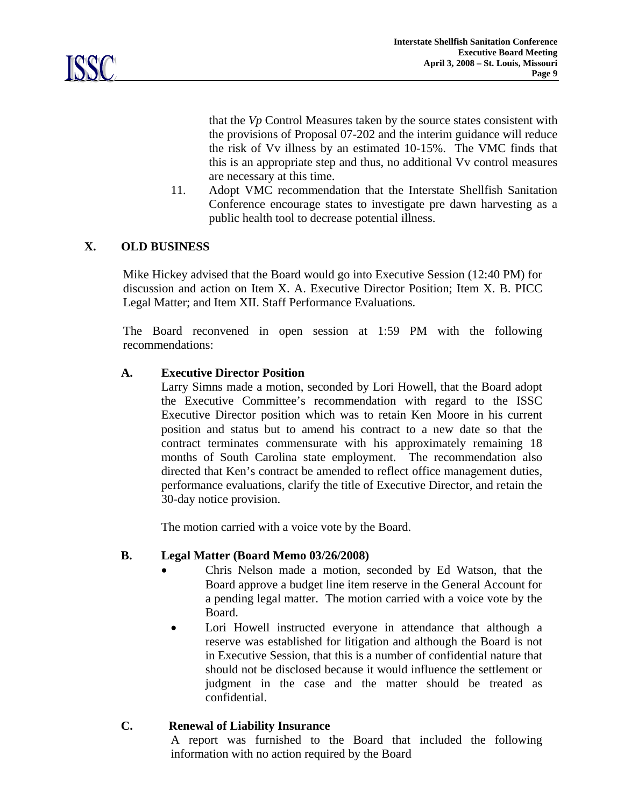

that the *Vp* Control Measures taken by the source states consistent with the provisions of Proposal 07-202 and the interim guidance will reduce the risk of Vv illness by an estimated 10-15%. The VMC finds that this is an appropriate step and thus, no additional Vv control measures are necessary at this time.

11. Adopt VMC recommendation that the Interstate Shellfish Sanitation Conference encourage states to investigate pre dawn harvesting as a public health tool to decrease potential illness.

## **X. OLD BUSINESS**

Mike Hickey advised that the Board would go into Executive Session (12:40 PM) for discussion and action on Item X. A. Executive Director Position; Item X. B. PICC Legal Matter; and Item XII. Staff Performance Evaluations.

 The Board reconvened in open session at 1:59 PM with the following recommendations:

#### **A. Executive Director Position**

 Larry Simns made a motion, seconded by Lori Howell, that the Board adopt the Executive Committee's recommendation with regard to the ISSC Executive Director position which was to retain Ken Moore in his current position and status but to amend his contract to a new date so that the contract terminates commensurate with his approximately remaining 18 months of South Carolina state employment. The recommendation also directed that Ken's contract be amended to reflect office management duties, performance evaluations, clarify the title of Executive Director, and retain the 30-day notice provision.

The motion carried with a voice vote by the Board.

#### **B. Legal Matter (Board Memo 03/26/2008)**

- Chris Nelson made a motion, seconded by Ed Watson, that the Board approve a budget line item reserve in the General Account for a pending legal matter. The motion carried with a voice vote by the Board.
- Lori Howell instructed everyone in attendance that although a reserve was established for litigation and although the Board is not in Executive Session, that this is a number of confidential nature that should not be disclosed because it would influence the settlement or judgment in the case and the matter should be treated as confidential.

## **C. Renewal of Liability Insurance**

 A report was furnished to the Board that included the following information with no action required by the Board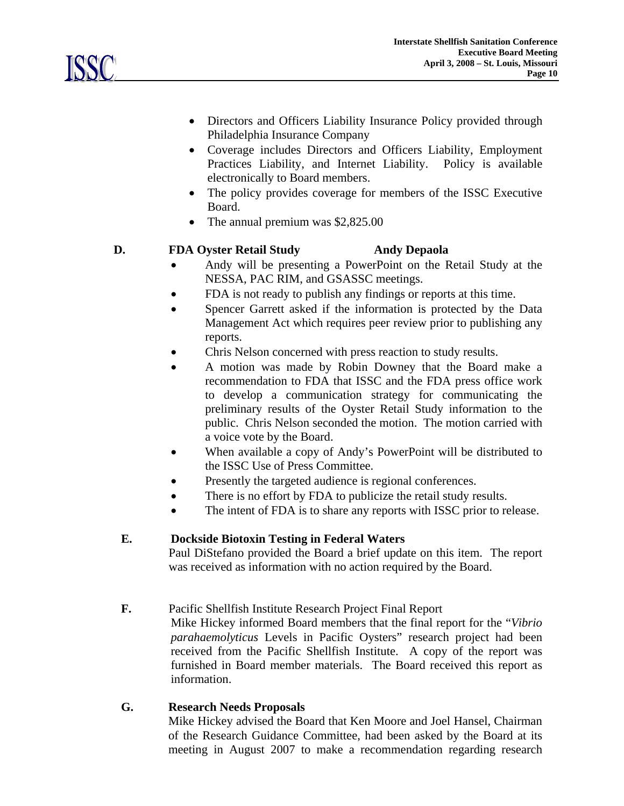

- Directors and Officers Liability Insurance Policy provided through Philadelphia Insurance Company
- Coverage includes Directors and Officers Liability, Employment Practices Liability, and Internet Liability. Policy is available electronically to Board members.
- The policy provides coverage for members of the ISSC Executive Board.
- The annual premium was \$2,825.00

## **D. FDA Oyster Retail Study Andy Depaola**

- 
- Andy will be presenting a PowerPoint on the Retail Study at the NESSA, PAC RIM, and GSASSC meetings.
- FDA is not ready to publish any findings or reports at this time.
- Spencer Garrett asked if the information is protected by the Data Management Act which requires peer review prior to publishing any reports.
- Chris Nelson concerned with press reaction to study results.
- A motion was made by Robin Downey that the Board make a recommendation to FDA that ISSC and the FDA press office work to develop a communication strategy for communicating the preliminary results of the Oyster Retail Study information to the public. Chris Nelson seconded the motion. The motion carried with a voice vote by the Board.
- When available a copy of Andy's PowerPoint will be distributed to the ISSC Use of Press Committee.
- Presently the targeted audience is regional conferences.
- There is no effort by FDA to publicize the retail study results.
- The intent of FDA is to share any reports with ISSC prior to release.

# **E. Dockside Biotoxin Testing in Federal Waters**

Paul DiStefano provided the Board a brief update on this item. The report was received as information with no action required by the Board.

**F.** Pacific Shellfish Institute Research Project Final Report

Mike Hickey informed Board members that the final report for the "*Vibrio parahaemolyticus* Levels in Pacific Oysters" research project had been received from the Pacific Shellfish Institute. A copy of the report was furnished in Board member materials. The Board received this report as information.

## **G. Research Needs Proposals**

Mike Hickey advised the Board that Ken Moore and Joel Hansel, Chairman of the Research Guidance Committee, had been asked by the Board at its meeting in August 2007 to make a recommendation regarding research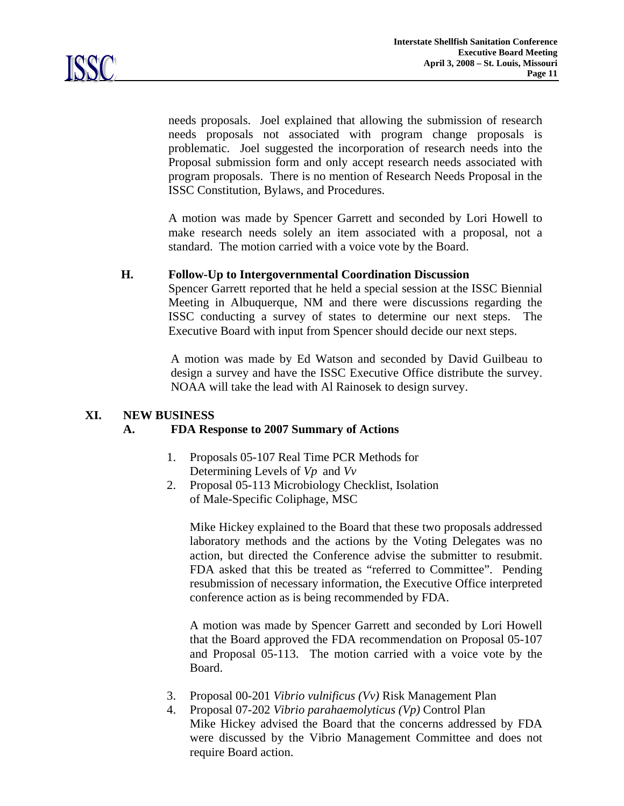

needs proposals. Joel explained that allowing the submission of research needs proposals not associated with program change proposals is problematic. Joel suggested the incorporation of research needs into the Proposal submission form and only accept research needs associated with program proposals. There is no mention of Research Needs Proposal in the ISSC Constitution, Bylaws, and Procedures.

A motion was made by Spencer Garrett and seconded by Lori Howell to make research needs solely an item associated with a proposal, not a standard. The motion carried with a voice vote by the Board.

#### **H. Follow-Up to Intergovernmental Coordination Discussion**

Spencer Garrett reported that he held a special session at the ISSC Biennial Meeting in Albuquerque, NM and there were discussions regarding the ISSC conducting a survey of states to determine our next steps. The Executive Board with input from Spencer should decide our next steps.

 A motion was made by Ed Watson and seconded by David Guilbeau to design a survey and have the ISSC Executive Office distribute the survey. NOAA will take the lead with Al Rainosek to design survey.

#### **XI. NEW BUSINESS**

#### **A. FDA Response to 2007 Summary of Actions**

- 1. Proposals 05-107 Real Time PCR Methods for Determining Levels of *Vp* and *Vv*
- 2. Proposal 05-113 Microbiology Checklist, Isolation of Male-Specific Coliphage, MSC

Mike Hickey explained to the Board that these two proposals addressed laboratory methods and the actions by the Voting Delegates was no action, but directed the Conference advise the submitter to resubmit. FDA asked that this be treated as "referred to Committee". Pending resubmission of necessary information, the Executive Office interpreted conference action as is being recommended by FDA.

A motion was made by Spencer Garrett and seconded by Lori Howell that the Board approved the FDA recommendation on Proposal 05-107 and Proposal 05-113. The motion carried with a voice vote by the Board.

- 3. Proposal 00-201 *Vibrio vulnificus (Vv)* Risk Management Plan
- 4. Proposal 07-202 *Vibrio parahaemolyticus (Vp)* Control Plan Mike Hickey advised the Board that the concerns addressed by FDA were discussed by the Vibrio Management Committee and does not require Board action.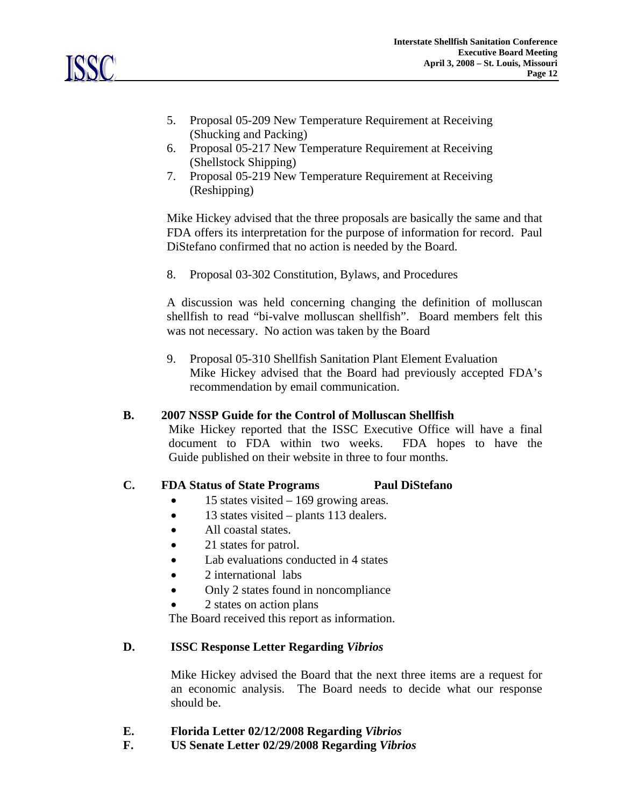

- 5. Proposal 05-209 New Temperature Requirement at Receiving (Shucking and Packing)
- 6. Proposal 05-217 New Temperature Requirement at Receiving (Shellstock Shipping)
- 7. Proposal 05-219 New Temperature Requirement at Receiving (Reshipping)

Mike Hickey advised that the three proposals are basically the same and that FDA offers its interpretation for the purpose of information for record. Paul DiStefano confirmed that no action is needed by the Board.

8. Proposal 03-302 Constitution, Bylaws, and Procedures

A discussion was held concerning changing the definition of molluscan shellfish to read "bi-valve molluscan shellfish". Board members felt this was not necessary. No action was taken by the Board

9. Proposal 05-310 Shellfish Sanitation Plant Element Evaluation Mike Hickey advised that the Board had previously accepted FDA's recommendation by email communication.

## **B. 2007 NSSP Guide for the Control of Molluscan Shellfish**

Mike Hickey reported that the ISSC Executive Office will have a final document to FDA within two weeks. FDA hopes to have the Guide published on their website in three to four months.

## **C. FDA Status of State Programs Paul DiStefano**

- 15 states visited  $-169$  growing areas.
- 13 states visited plants 113 dealers.
- All coastal states.
- 21 states for patrol.
- Lab evaluations conducted in 4 states
- 2 international labs
- Only 2 states found in noncompliance
- 2 states on action plans

The Board received this report as information.

## **D. ISSC Response Letter Regarding** *Vibrios*

 Mike Hickey advised the Board that the next three items are a request for an economic analysis. The Board needs to decide what our response should be.

- **E. Florida Letter 02/12/2008 Regarding** *Vibrios*
- **F. US Senate Letter 02/29/2008 Regarding** *Vibrios*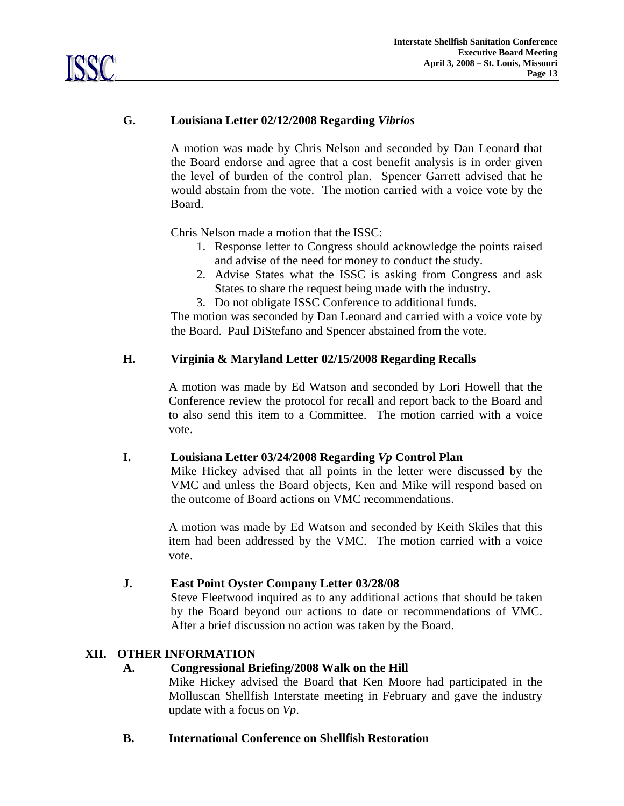# **G. Louisiana Letter 02/12/2008 Regarding** *Vibrios*

 A motion was made by Chris Nelson and seconded by Dan Leonard that the Board endorse and agree that a cost benefit analysis is in order given the level of burden of the control plan. Spencer Garrett advised that he would abstain from the vote. The motion carried with a voice vote by the Board.

Chris Nelson made a motion that the ISSC:

- 1. Response letter to Congress should acknowledge the points raised and advise of the need for money to conduct the study.
- 2. Advise States what the ISSC is asking from Congress and ask States to share the request being made with the industry.
- 3. Do not obligate ISSC Conference to additional funds.

 The motion was seconded by Dan Leonard and carried with a voice vote by the Board. Paul DiStefano and Spencer abstained from the vote.

#### **H. Virginia & Maryland Letter 02/15/2008 Regarding Recalls**

A motion was made by Ed Watson and seconded by Lori Howell that the Conference review the protocol for recall and report back to the Board and to also send this item to a Committee. The motion carried with a voice vote.

## **I. Louisiana Letter 03/24/2008 Regarding** *Vp* **Control Plan**

 Mike Hickey advised that all points in the letter were discussed by the VMC and unless the Board objects, Ken and Mike will respond based on the outcome of Board actions on VMC recommendations.

A motion was made by Ed Watson and seconded by Keith Skiles that this item had been addressed by the VMC. The motion carried with a voice vote.

#### **J. East Point Oyster Company Letter 03/28/08**

Steve Fleetwood inquired as to any additional actions that should be taken by the Board beyond our actions to date or recommendations of VMC. After a brief discussion no action was taken by the Board.

## **XII. OTHER INFORMATION**

## **A. Congressional Briefing/2008 Walk on the Hill**

Mike Hickey advised the Board that Ken Moore had participated in the Molluscan Shellfish Interstate meeting in February and gave the industry update with a focus on *Vp*.

**B. International Conference on Shellfish Restoration**